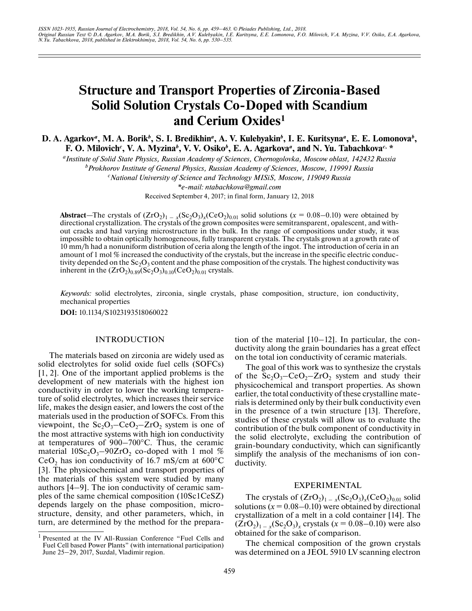# **Structure and Transport Properties of Zirconia-Based Solid Solution Crystals Co-Doped with Scandium and Cerium Oxides1**

**D. A. Agarkov***a***, M. A. Borik***<sup>b</sup>* **, S. I. Bredikhin***a***, A. V. Kulebyakin***<sup>b</sup>* **, I. E. Kuritsyna***a***, E. E. Lomonova***<sup>b</sup>* **, F. O. Milovich<sup>c</sup>, V. A. Myzina<sup>b</sup>, V. V. Osiko<sup>b</sup>, E. A. Agarkova<sup>a</sup>, and N. Yu. Tabachkova<sup>c, \*</sup>** 

*aInstitute of Solid State Physics, Russian Academy of Sciences, Chernogolovka, Moscow oblast, 142432 Russia*

*b Prokhorov Institute of General Physics, Russian Academy of Sciences, Moscow, 119991 Russia c National University of Science and Technology MISiS, Moscow, 119049 Russia*

*\*e-mail: ntabachkova@gmail.com*

Received September 4, 2017; in final form, January 12, 2018

Abstract—The crystals of  $(ZrO_2)_{1-x}$  $(Sc_2O_3)_x$  $(CeO_2)_{0.01}$  solid solutions ( $x = 0.08-0.10$ ) were obtained by directional crystallization. The crystals of the grown composites were semitransparent, opalescent, and without cracks and had varying microstructure in the bulk. In the range of compositions under study, it was impossible to obtain optically homogeneous, fully transparent crystals. The crystals grown at a growth rate of 10 mm/h had a nonuniform distribution of ceria along the length of the ingot. The introduction of ceria in an amount of 1 mol % increased the conductivity of the crystals, but the increase in the specific electric conductivity depended on the  $Sc_2O_3$  content and the phase composition of the crystals. The highest conductivity was inherent in the  $({\rm ZrO_2})_{0.89}({\rm Sc}_2{\rm O}_3)_{0.10}({\rm CeO_2})_{0.01}$  crystals.

*Keywords:* solid electrolytes, zirconia, single crystals, phase composition, structure, ion conductivity, mechanical properties

**DOI:** 10.1134/S1023193518060022

#### INTRODUCTION

The materials based on zirconia are widely used as solid electrolytes for solid oxide fuel cells (SOFCs) [1, 2]. One of the important applied problems is the development of new materials with the highest ion conductivity in order to lower the working temperature of solid electrolytes, which increases their service life, makes the design easier, and lowers the cost of the materials used in the production of SOFCs. From this viewpoint, the  $Sc_2O_3$ – $CeO_2$ – $ZrO_2$  system is one of the most attractive systems with high ion conductivity at temperatures of 900–700°С. Thus, the ceramic material  $10Sc_2O_3-90ZrO_2$  co-doped with 1 mol % CeO<sub>2</sub> has ion conductivity of 16.7 mS/cm at  $600^{\circ}$ C [3]. The physicochemical and transport properties of the materials of this system were studied by many authors [4–9]. The ion conductivity of ceramic samples of the same chemical composition (10Sc1CeSZ) depends largely on the phase composition, microstructure, density, and other parameters, which, in turn, are determined by the method for the preparation of the material [10–12]. In particular, the conductivity along the grain boundaries has a great effect on the total ion conductivity of ceramic materials.

The goal of this work was to synthesize the crystals of the  $Sc_2O_3 - CeO_2 - ZrO_2$  system and study their physicochemical and transport properties. As shown earlier, the total conductivity of these crystalline materials is determined only by their bulk conductivity even in the presence of a twin structure [13]. Therefore, studies of these crystals will allow us to evaluate the contribution of the bulk component of conductivity in the solid electrolyte, excluding the contribution of grain-boundary conductivity, which can significantly simplify the analysis of the mechanisms of ion conductivity.

# EXPERIMENTAL

The crystals of  $(ZrO<sub>2</sub>)<sub>1-x</sub>(Sc<sub>2</sub>O<sub>3</sub>)<sub>x</sub>(CeO<sub>2</sub>)<sub>0.01</sub>$  solid solutions  $(x = 0.08 - 0.10)$  were obtained by directional crystallization of a melt in a cold container [14]. The  $(ZrO<sub>2</sub>)<sub>1-x</sub>(Sc<sub>2</sub>O<sub>3</sub>)<sub>x</sub>$  crystals ( $x = 0.08-0.10$ ) were also obtained for the sake of comparison.

The chemical composition of the grown crystals was determined on a JEOL 5910 LV scanning electron

<sup>1</sup> Presented at the IV All-Russian Conference "Fuel Cells and Fuel Cell based Power Plants" (with international participation) June 25-29, 2017, Suzdal, Vladimir region.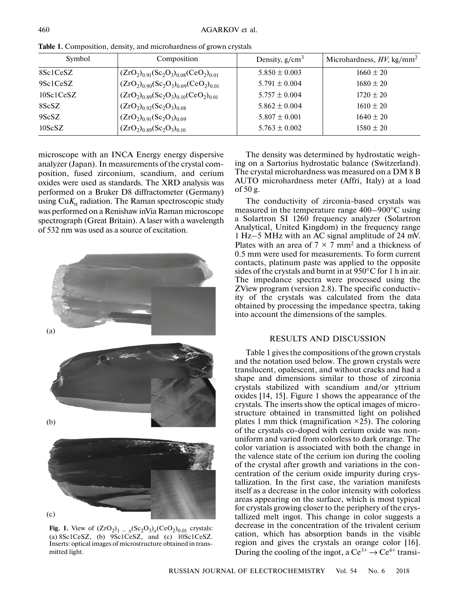| Symbol              | Composition                                          | Density, $g/cm^3$ | Microhardness, $HV$ , kg/mm <sup>2</sup> |
|---------------------|------------------------------------------------------|-------------------|------------------------------------------|
| 8Sc1CeSZ            | $(ZrO2)0.91(Sc2O3)0.08(CeO2)0.01$                    | $5.850 \pm 0.003$ | $1660 \pm 20$                            |
| 9Sc1CeSZ            | $(ZrO_2)_{0.90} (Sc_2O_3)_{0.09} (CeO_2)_{0.01}$     | $5.791 \pm 0.004$ | $1680 \pm 20$                            |
| 10Sc1CeSZ           | $(ZrO_2)_{0.89}$ $(Sc_2O_3)_{0.10}$ $(CeO_2)_{0.01}$ | $5.757 \pm 0.004$ | $1720 \pm 20$                            |
| 8ScSZ               | $(ZrO2)0.92(Sc2O3)0.08$                              | $5.862 \pm 0.004$ | $1610 \pm 20$                            |
| 9ScSZ               | $(ZrO2)0.91(Sc2O3)0.09$                              | $5.807 \pm 0.001$ | $1640 \pm 20$                            |
| 10 <sub>Sc</sub> SZ | $(ZrO_2)_{0.89}$ $(Sc_2O_3)_{0.10}$                  | $5.763 \pm 0.002$ | $1580 \pm 20$                            |

**Table 1.** Composition, density, and microhardness of grown crystals

microscope with an INCA Energy energy dispersive analyzer (Japan). In measurements of the crystal composition, fused zirconium, scandium, and cerium oxides were used as standards. The XRD analysis was performed on a Bruker D8 diffractometer (Germany) using  $CuK_{\alpha}$  radiation. The Raman spectroscopic study was performed on a Renishaw inVia Raman microscope spectrograph (Great Britain). A laser with a wavelength of 532 nm was used as a source of excitation.



**Fig. 1.** View of  $(ZrO_2)_{1-x} (Sc_2O_3)_x (CeO_2)_{0.01}$  crystals: (a) 8Sc1CeSZ, (b) 9Sc1CeSZ, and (c) 10Sc1CeSZ. Inserts: optical images of microstructure obtained in transmitted light.

The density was determined by hydrostatic weighing on a Sartorius hydrostatic balance (Switzerland). The crystal microhardness was measured on a DM 8 B AUTO microhardness meter (Affri, Italy) at a load of 50 g.

The conductivity of zirconia-based crystals was measured in the temperature range 400–900°С using a Solartron SI 1260 frequency analyzer (Solartron Analytical, United Kingdom) in the frequency range 1 Hz–5 MHz with an AC signal amplitude of 24 mV. Plates with an area of  $7 \times 7$  mm<sup>2</sup> and a thickness of 0.5 mm were used for measurements. To form current contacts, platinum paste was applied to the opposite sides of the crystals and burnt in at 950°C for 1 h in air. The impedance spectra were processed using the ZView program (version 2.8). The specific conductivity of the crystals was calculated from the data obtained by processing the impedance spectra, taking into account the dimensions of the samples.

### RESULTS AND DISCUSSION

Table 1 gives the compositions of the grown crystals and the notation used below. The grown crystals were translucent, opalescent, and without cracks and had a shape and dimensions similar to those of zirconia crystals stabilized with scandium and/or yttrium oxides [14, 15]. Figure 1 shows the appearance of the crystals. The inserts show the optical images of microstructure obtained in transmitted light on polished plates 1 mm thick (magnification  $\times$ 25). The coloring of the crystals co-doped with cerium oxide was nonuniform and varied from colorless to dark orange. The color variation is associated with both the change in the valence state of the cerium ion during the cooling of the crystal after growth and variations in the concentration of the cerium oxide impurity during crystallization. In the first case, the variation manifests itself as a decrease in the color intensity with colorless areas appearing on the surface, which is most typical for crystals growing closer to the periphery of the crystallized melt ingot. This change in color suggests a decrease in the concentration of the trivalent cerium cation, which has absorption bands in the visible region and gives the crystals an orange color [16]. During the cooling of the ingot, a  $Ce^{3+} \rightarrow Ce^{4+}$  transi-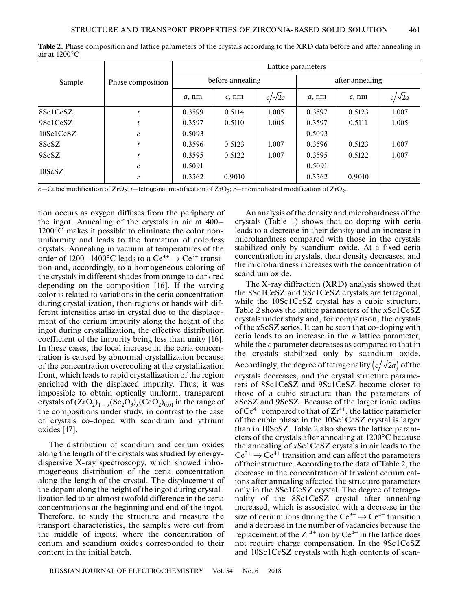|                     | Phase composition | Lattice parameters |          |               |                 |          |               |
|---------------------|-------------------|--------------------|----------|---------------|-----------------|----------|---------------|
| Sample              |                   | before annealing   |          |               | after annealing |          |               |
|                     |                   | $a$ , nm           | $c$ , nm | $c/\sqrt{2}a$ | $a$ , nm        | $c$ , nm | $c/\sqrt{2}a$ |
| 8Sc1CeSZ            |                   | 0.3599             | 0.5114   | 1.005         | 0.3597          | 0.5123   | 1.007         |
| 9Sc1CeSZ            |                   | 0.3597             | 0.5110   | 1.005         | 0.3597          | 0.5111   | 1.005         |
| 10Sc1CeSZ           | $\mathcal{C}_{0}$ | 0.5093             |          |               | 0.5093          |          |               |
| 8ScSZ               |                   | 0.3596             | 0.5123   | 1.007         | 0.3596          | 0.5123   | 1.007         |
| 9ScSZ               |                   | 0.3595             | 0.5122   | 1.007         | 0.3595          | 0.5122   | 1.007         |
| 10 <sub>Sc</sub> SZ | $\mathcal{C}_{0}$ | 0.5091             |          |               | 0.5091          |          |               |
|                     | r                 | 0.3562             | 0.9010   |               | 0.3562          | 0.9010   |               |

**Table 2.** Phase composition and lattice parameters of the crystals according to the XRD data before and after annealing in air at 1200°С

*c*—Cubic modification of  $ZrO<sub>2</sub>$ ; *t*—tetragonal modification of  $ZrO<sub>2</sub>$ ; *r*—rhombohedral modification of  $ZrO<sub>2</sub>$ .

tion occurs as oxygen diffuses from the periphery of the ingot. Annealing of the crystals in air at 400– 1200°C makes it possible to eliminate the color nonuniformity and leads to the formation of colorless crystals. Annealing in vacuum at temperatures of the order of 1200–1400°C leads to a  $Ce^{4+} \rightarrow Ce^{3+}$  transition and, accordingly, to a homogeneous coloring of the crystals in different shades from orange to dark red depending on the composition [16]. If the varying color is related to variations in the ceria concentration during crystallization, then regions or bands with different intensities arise in crystal due to the displacement of the cerium impurity along the height of the ingot during crystallization, the effective distribution coefficient of the impurity being less than unity [16]. In these cases, the local increase in the ceria concentration is caused by abnormal crystallization because of the concentration overcooling at the crystallization front, which leads to rapid crystallization of the region enriched with the displaced impurity. Thus, it was impossible to obtain optically uniform, transparent crystals of  $(ZrO_2)_{1-x}$  $(Sc_2O_3)_x$  $(CeO_2)_{0.01}$  in the range of the compositions under study, in contrast to the case of crystals co-doped with scandium and yttrium oxides [17].

The distribution of scandium and cerium oxides along the length of the crystals was studied by energydispersive X-ray spectroscopy, which showed inhomogeneous distribution of the ceria concentration along the length of the crystal. The displacement of the dopant along the height of the ingot during crystallization led to an almost twofold difference in the ceria concentrations at the beginning and end of the ingot. Therefore, to study the structure and measure the transport characteristics, the samples were cut from the middle of ingots, where the concentration of cerium and scandium oxides corresponded to their content in the initial batch.

An analysis of the density and microhardness of the crystals (Table 1) shows that co-doping with ceria leads to a decrease in their density and an increase in microhardness compared with those in the crystals stabilized only by scandium oxide. At a fixed ceria concentration in crystals, their density decreases, and the microhardness increases with the concentration of scandium oxide.

The X-ray diffraction (XRD) analysis showed that the 8Sc1CeSZ and 9Sc1CeSZ crystals are tetragonal, while the 10Sc1CeSZ crystal has a cubic structure. Table 2 shows the lattice parameters of the *x*Sc1CeSZ crystals under study and, for comparison, the crystals of the *x*ScSZ series. It can be seen that co-doping with ceria leads to an increase in the *a* lattice parameter, while the *c* parameter decreases as compared to that in the crystals stabilized only by scandium oxide. Accordingly, the degree of tetragonality  $\left({c}/{\sqrt{2}a}\right)$  of the crystals decreases, and the crystal structure parameters of 8Sc1CeSZ and 9Sc1CeSZ become closer to those of a cubic structure than the parameters of 8ScSZ and 9ScSZ. Because of the larger ionic radius of  $Ce^{4+}$  compared to that of  $Zr^{4+}$ , the lattice parameter of the cubic phase in the 10Sc1CeSZ crystal is larger than in 10ScSZ. Table 2 also shows the lattice parameters of the crystals after annealing at 1200°C because the annealing of *x*Sc1CeSZ crystals in air leads to the  $Ce^{3+} \rightarrow Ce^{4+}$  transition and can affect the parameters of their structure. According to the data of Table 2, the decrease in the concentration of trivalent cerium cations after annealing affected the structure parameters only in the 8Sc1CeSZ crystal. The degree of tetragonality of the 8Sc1CeSZ crystal after annealing increased, which is associated with a decrease in the size of cerium ions during the  $Ce^{3+} \rightarrow Ce^{4+}$  transition and a decrease in the number of vacancies because the replacement of the  $Zr^{4+}$  ion by  $Ce^{4+}$  in the lattice does not require charge compensation. In the 9Sc1CeSZ and 10Sc1CeSZ crystals with high contents of scan-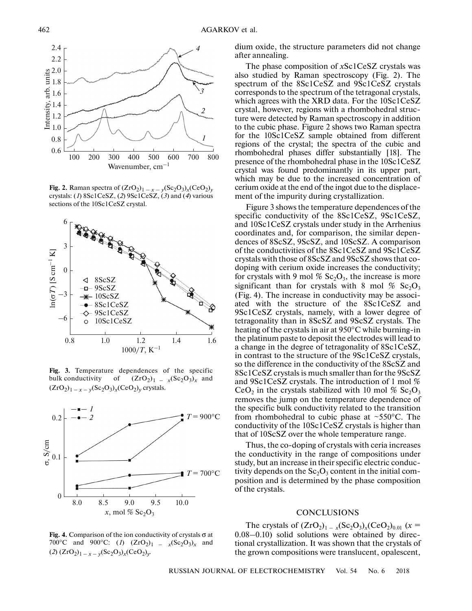

**Fig. 2.** Raman spectra of  $(ZrO_2)_{1-x} = v(Sc_2O_3)_x(CeO_2)_y$ crystals: (*1*) 8Sc1CeSZ, (*2*) 9Sc1CeSZ, (*3*) and (*4*) various sections of the 10Sc1CeSZ crystal.



**Fig. 3.** Temperature dependences of the specific bulk conductivity of  $(ZrO<sub>2</sub>)<sub>1</sub> = x(Sc<sub>2</sub>O<sub>3</sub>)<sub>x</sub>$  and  $(ZrO_2)_{1-x-y}(Sc_2O_3)_x(CeO_2)_y$  crystals.



**Fig. 4.** Comparison of the ion conductivity of crystals σ at 700°C and 900°C: (*1*)  $(ZrO_2)_{1} = x(Sc_2O_3)_{x}$  and  $(2)$   $(ZrO_2)_{1-x-y}(Sc_2O_3)_x(CeO_2)_y$ .

dium oxide, the structure parameters did not change after annealing.

The phase composition of *x*Sc1CeSZ crystals was also studied by Raman spectroscopy (Fig. 2). The spectrum of the 8Sc1CeSZ and 9Sc1CeSZ crystals corresponds to the spectrum of the tetragonal crystals, which agrees with the XRD data. For the 10Sc1CeSZ crystal, however, regions with a rhombohedral structure were detected by Raman spectroscopy in addition to the cubic phase. Figure 2 shows two Raman spectra for the 10Sc1CeSZ sample obtained from different regions of the crystal; the spectra of the cubic and rhombohedral phases differ substantially [18]. The presence of the rhombohedral phase in the 10Sc1CeSZ crystal was found predominantly in its upper part, which may be due to the increased concentration of cerium oxide at the end of the ingot due to the displacement of the impurity during crystallization.

Figure 3 shows the temperature dependences of the specific conductivity of the 8Sc1CeSZ, 9Sc1CeSZ, and 10Sc1CeSZ crystals under study in the Arrhenius coordinates and, for comparison, the similar dependences of 8ScSZ, 9ScSZ, and 10ScSZ. A comparison of the conductivities of the 8Sc1CeSZ and 9Sc1CeSZ crystals with those of 8ScSZ and 9ScSZ shows that codoping with cerium oxide increases the conductivity; for crystals with 9 mol %  $Sc_2O_3$ , the increase is more significant than for crystals with 8 mol  $\%$  Sc<sub>2</sub>O<sub>3</sub> (Fig. 4). The increase in conductivity may be associated with the structure of the 8Sc1CeSZ and 9Sc1CeSZ crystals, namely, with a lower degree of tetragonality than in 8ScSZ and 9ScSZ crystals. The heating of the crystals in air at 950°C while burning-in the platinum paste to deposit the electrodes will lead to a change in the degree of tetragonality of 8Sc1CeSZ, in contrast to the structure of the 9Sc1CeSZ crystals, so the difference in the conductivity of the 8ScSZ and 8Sc1CeSZ crystals is much smaller than for the 9ScSZ and 9Sc1CeSZ crystals. The introduction of 1 mol % CeO<sub>2</sub> in the crystals stabilized with 10 mol % Sc<sub>2</sub>O<sub>3</sub> removes the jump on the temperature dependence of the specific bulk conductivity related to the transition from rhombohedral to cubic phase at  $\sim$ 550 $\degree$ C. The conductivity of the 10Sc1CeSZ crystals is higher than that of 10ScSZ over the whole temperature range.

Thus, the co-doping of crystals with ceria increases the conductivity in the range of compositions under study, but an increase in their specific electric conductivity depends on the  $Sc_2O_3$  content in the initial composition and is determined by the phase composition of the crystals.

# **CONCLUSIONS**

The crystals of  $(ZrO<sub>2</sub>)<sub>1-x</sub>(Sc<sub>2</sub>O<sub>3</sub>)<sub>x</sub>(CeO<sub>2</sub>)<sub>0.01</sub>$  ( $x =$ 0.08–0.10) solid solutions were obtained by directional crystallization. It was shown that the crystals of the grown compositions were translucent, opalescent,